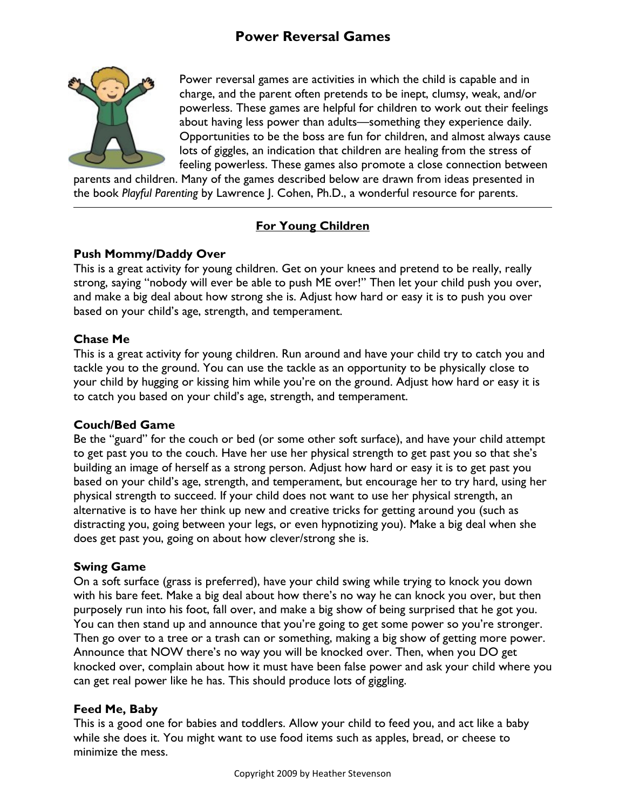# Power Reversal Games



Power reversal games are activities in which the child is capable and in charge, and the parent often pretends to be inept, clumsy, weak, and/or powerless. These games are helpful for children to work out their feelings about having less power than adults—something they experience daily. Opportunities to be the boss are fun for children, and almost always cause lots of giggles, an indication that children are healing from the stress of feeling powerless. These games also promote a close connection between

parents and children. Many of the games described below are drawn from ideas presented in the book Playful Parenting by Lawrence J. Cohen, Ph.D., a wonderful resource for parents.

## For Young Children

## Push Mommy/Daddy Over

This is a great activity for young children. Get on your knees and pretend to be really, really strong, saying "nobody will ever be able to push ME over!" Then let your child push you over, and make a big deal about how strong she is. Adjust how hard or easy it is to push you over based on your child's age, strength, and temperament.

## Chase Me

 $\overline{a}$ 

This is a great activity for young children. Run around and have your child try to catch you and tackle you to the ground. You can use the tackle as an opportunity to be physically close to your child by hugging or kissing him while you're on the ground. Adjust how hard or easy it is to catch you based on your child's age, strength, and temperament.

## Couch/Bed Game

Be the "guard" for the couch or bed (or some other soft surface), and have your child attempt to get past you to the couch. Have her use her physical strength to get past you so that she's building an image of herself as a strong person. Adjust how hard or easy it is to get past you based on your child's age, strength, and temperament, but encourage her to try hard, using her physical strength to succeed. If your child does not want to use her physical strength, an alternative is to have her think up new and creative tricks for getting around you (such as distracting you, going between your legs, or even hypnotizing you). Make a big deal when she does get past you, going on about how clever/strong she is.

## Swing Game

On a soft surface (grass is preferred), have your child swing while trying to knock you down with his bare feet. Make a big deal about how there's no way he can knock you over, but then purposely run into his foot, fall over, and make a big show of being surprised that he got you. You can then stand up and announce that you're going to get some power so you're stronger. Then go over to a tree or a trash can or something, making a big show of getting more power. Announce that NOW there's no way you will be knocked over. Then, when you DO get knocked over, complain about how it must have been false power and ask your child where you can get real power like he has. This should produce lots of giggling.

## Feed Me, Baby

This is a good one for babies and toddlers. Allow your child to feed you, and act like a baby while she does it. You might want to use food items such as apples, bread, or cheese to minimize the mess.